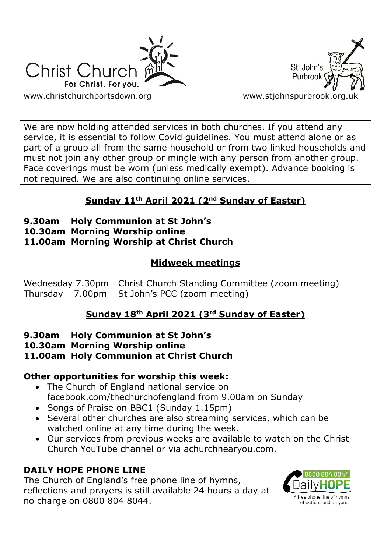



We are now holding attended services in both churches. If you attend any service, it is essential to follow Covid guidelines. You must attend alone or as part of a group all from the same household or from two linked households and must not join any other group or mingle with any person from another group. Face coverings must be worn (unless medically exempt). Advance booking is not required. We are also continuing online services.

# **Sunday 11th April 2021 (2nd Sunday of Easter)**

- **9.30am Holy Communion at St John's**
- **10.30am Morning Worship online**
- **11.00am Morning Worship at Christ Church**

# **Midweek meetings**

Wednesday 7.30pm Christ Church Standing Committee (zoom meeting) Thursday 7.00pm St John's PCC (zoom meeting)

# **Sunday 18th April 2021 (3rd Sunday of Easter)**

- **9.30am Holy Communion at St John's**
- **10.30am Morning Worship online**
- **11.00am Holy Communion at Christ Church**

## **Other opportunities for worship this week:**

- The Church of England national service on facebook.com/thechurchofengland from 9.00am on Sunday
- Songs of Praise on BBC1 (Sunday 1.15pm)
- Several other churches are also streaming services, which can be watched online at any time during the week.
- Our services from previous weeks are available to watch on the Christ Church YouTube channel or via achurchnearyou.com.

# **DAILY HOPE PHONE LINE**

The Church of England's free phone line of hymns, reflections and prayers is still available 24 hours a day at no charge on 0800 804 8044.

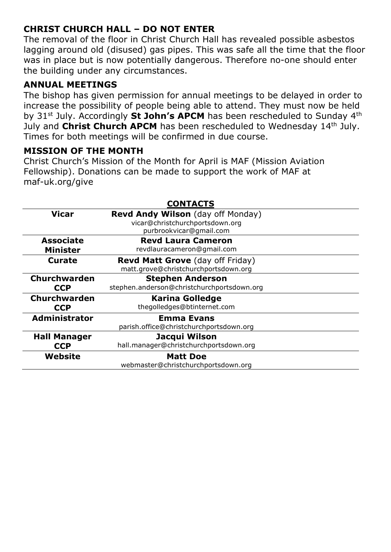### **CHRIST CHURCH HALL – DO NOT ENTER**

The removal of the floor in Christ Church Hall has revealed possible asbestos lagging around old (disused) gas pipes. This was safe all the time that the floor was in place but is now potentially dangerous. Therefore no-one should enter the building under any circumstances.

#### **ANNUAL MEETINGS**

The bishop has given permission for annual meetings to be delayed in order to increase the possibility of people being able to attend. They must now be held by 31<sup>st</sup> July. Accordingly St John's APCM has been rescheduled to Sunday 4<sup>th</sup> July and **Christ Church APCM** has been rescheduled to Wednesday 14<sup>th</sup> July. Times for both meetings will be confirmed in due course.

#### **MISSION OF THE MONTH**

Christ Church's Mission of the Month for April is MAF (Mission Aviation Fellowship). Donations can be made to support the work of MAF at maf-uk.org/give

| <b>CONTACTS</b>                     |                                                                                                 |
|-------------------------------------|-------------------------------------------------------------------------------------------------|
| <b>Vicar</b>                        | Revd Andy Wilson (day off Monday)<br>vicar@christchurchportsdown.org<br>purbrookvicar@gmail.com |
| <b>Associate</b><br><b>Minister</b> | <b>Revd Laura Cameron</b><br>revdlauracameron@gmail.com                                         |
| Curate                              | <b>Revd Matt Grove</b> (day off Friday)<br>matt.grove@christchurchportsdown.org                 |
| Churchwarden<br><b>CCP</b>          | <b>Stephen Anderson</b><br>stephen.anderson@christchurchportsdown.org                           |
| <b>Churchwarden</b><br><b>CCP</b>   | <b>Karina Golledge</b><br>thegolledges@btinternet.com                                           |
| <b>Administrator</b>                | <b>Emma Evans</b><br>parish.office@christchurchportsdown.org                                    |
| <b>Hall Manager</b><br><b>CCP</b>   | Jacqui Wilson<br>hall.manager@christchurchportsdown.org                                         |
| Website                             | <b>Matt Doe</b><br>webmaster@christchurchportsdown.org                                          |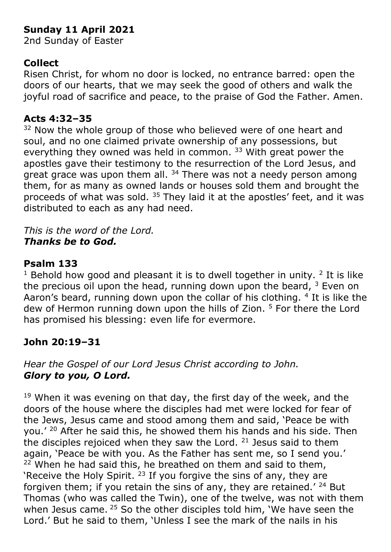# **Sunday 11 April 2021**

2nd Sunday of Easter

### **Collect**

Risen Christ, for whom no door is locked, no entrance barred: open the doors of our hearts, that we may seek the good of others and walk the joyful road of sacrifice and peace, to the praise of God the Father. Amen.

#### **Acts 4:32–35**

<sup>32</sup> Now the whole group of those who believed were of one heart and soul, and no one claimed private ownership of any possessions, but everything they owned was held in common. <sup>33</sup> With great power the apostles gave their testimony to the resurrection of the Lord Jesus, and great grace was upon them all.  $34$  There was not a needy person among them, for as many as owned lands or houses sold them and brought the proceeds of what was sold. <sup>35</sup> They laid it at the apostles' feet, and it was distributed to each as any had need.

*This is the word of the Lord. Thanks be to God.*

### **Psalm 133**

<sup>1</sup> Behold how good and pleasant it is to dwell together in unity.  $2$  It is like the precious oil upon the head, running down upon the beard,  $3$  Even on Aaron's beard, running down upon the collar of his clothing. <sup>4</sup> It is like the dew of Hermon running down upon the hills of Zion. <sup>5</sup> For there the Lord has promised his blessing: even life for evermore.

## **John 20:19–31**

### *Hear the Gospel of our Lord Jesus Christ according to John. Glory to you, O Lord.*

 $19$  When it was evening on that day, the first day of the week, and the doors of the house where the disciples had met were locked for fear of the Jews, Jesus came and stood among them and said, 'Peace be with you.' <sup>20</sup> After he said this, he showed them his hands and his side. Then the disciples rejoiced when they saw the Lord.  $21$  Jesus said to them again, 'Peace be with you. As the Father has sent me, so I send you.'  $22$  When he had said this, he breathed on them and said to them, 'Receive the Holy Spirit.<sup>23</sup> If you forgive the sins of any, they are forgiven them; if you retain the sins of any, they are retained.' <sup>24</sup> But Thomas (who was called the Twin), one of the twelve, was not with them when Jesus came. <sup>25</sup> So the other disciples told him, 'We have seen the Lord.' But he said to them, 'Unless I see the mark of the nails in his